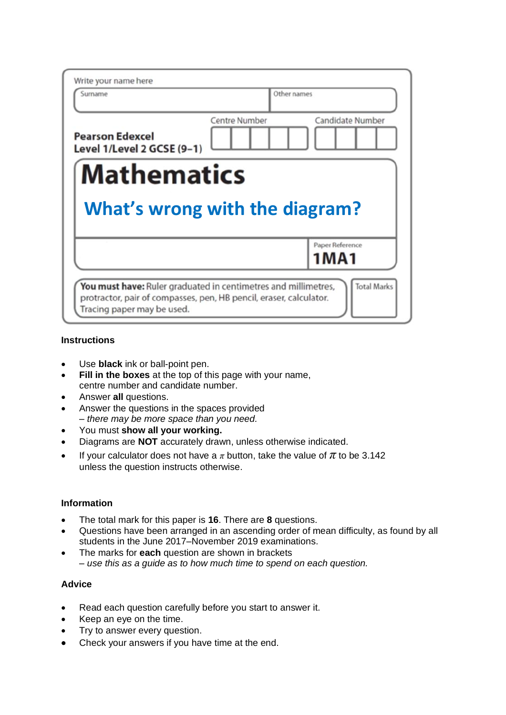| Write your name here<br>Surname                                |               | Other names |                               |
|----------------------------------------------------------------|---------------|-------------|-------------------------------|
| <b>Pearson Edexcel</b><br>Level 1/Level 2 GCSE (9-1)           | Centre Number |             | Candidate Number              |
|                                                                |               |             |                               |
| <b>Mathematics</b>                                             |               |             |                               |
| What's wrong with the diagram?                                 |               |             | Paper Reference               |
| You must have: Ruler graduated in centimetres and millimetres, |               |             | 1 M A 1<br><b>Total Marks</b> |

#### **Instructions**

- Use **black** ink or ball-point pen.
- **Fill in the boxes** at the top of this page with your name, centre number and candidate number.
- Answer **all** questions.
- Answer the questions in the spaces provided *– there may be more space than you need.*
- You must **show all your working.**
- Diagrams are **NOT** accurately drawn, unless otherwise indicated.
- If your calculator does not have a  $\pi$  button, take the value of  $\pi$  to be 3.142 unless the question instructs otherwise.

### **Information**

- The total mark for this paper is **16**. There are **8** questions.
- Questions have been arranged in an ascending order of mean difficulty, as found by all students in the June 2017–November 2019 examinations.
- The marks for **each** question are shown in brackets *– use this as a guide as to how much time to spend on each question.*

#### **Advice**

- Read each question carefully before you start to answer it.
- Keep an eye on the time.
- Try to answer every question.
- Check your answers if you have time at the end.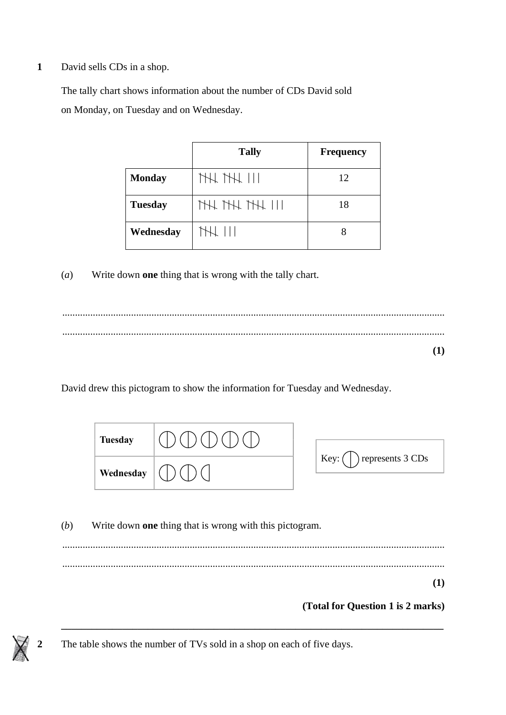**1** David sells CDs in a shop.

The tally chart shows information about the number of CDs David sold on Monday, on Tuesday and on Wednesday. The tally chart shows information about the number of  $C$  shows information about the number of  $C$ on Monday, on Tuesday and on Wednesday. The tally chart shows information about the number of CDs David sold

|                | <b>Tally</b>    | <b>Frequency</b> |
|----------------|-----------------|------------------|
| <b>Monday</b>  | THL THL 111     | 12               |
| <b>Tuesday</b> | THL THL THL 111 | 18               |
| Wednesday      | THL 111         | 8                |

(*a*) Write down **one** thing that is wrong with the tally chart.  $\alpha$  Write down **one** thing that is wrong with the tally chart.

...................................................................................................................................................... .................................................................................................................................................................................................................................................. ...................................................................................................................................................... **(1) (1)** (a) Write down **one** thing that is wrong with the tally chart. **(1)**

..................................................................................................................................................................................................................................................

David drew this pictogram to show the information for Tuesday and Wednesday. **Tuesday**

| Tuesday   |                            |
|-----------|----------------------------|
| Wednesday | represents 3 CDs<br>Key: ( |

(*b*) Write down **one** thing that is wrong with this pictogram. ...................................................................................................................................................... **(1) (Total for Question 5 is 2 marks) (1)** ...................................................................................................................................................... **(Total for Question 5 is 2 marks) (Total for Question 5 is 2 marks) (1) (1) (Total for Question 5 is 2 marks)**

**\_\_\_\_\_\_\_\_\_\_\_\_\_\_\_\_\_\_\_\_\_\_\_\_\_\_\_\_\_\_\_\_\_\_\_\_\_\_\_\_\_\_\_\_\_\_\_\_\_\_\_\_\_\_\_\_\_\_\_\_\_\_\_\_\_\_\_\_\_\_\_\_\_\_\_**

## **(Total for Question 1 is 2 marks)**

**2** The table shows the number of TVs sold in a shop on each of five days.



 $\mathbf{E}$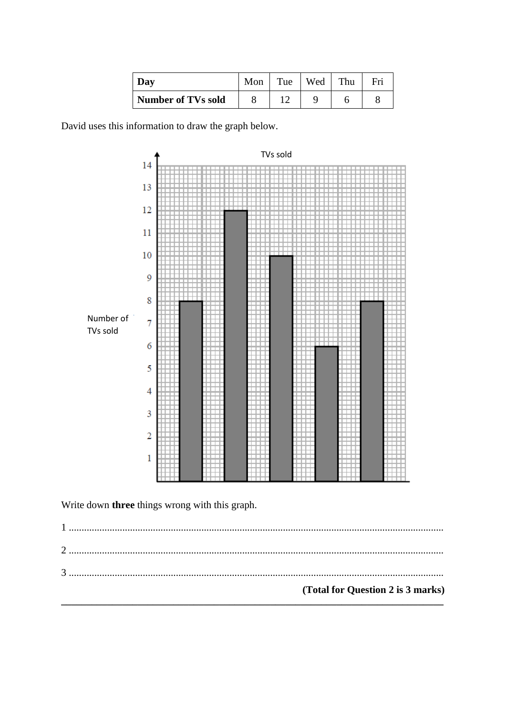| Dav                       | Mon | Tue | Wed | Thu | Fri |
|---------------------------|-----|-----|-----|-----|-----|
| <b>Number of TVs sold</b> |     |     |     |     |     |

David uses this information to draw the graph below.



Write down three things wrong with this graph.

(Total for Question 2 is 3 marks)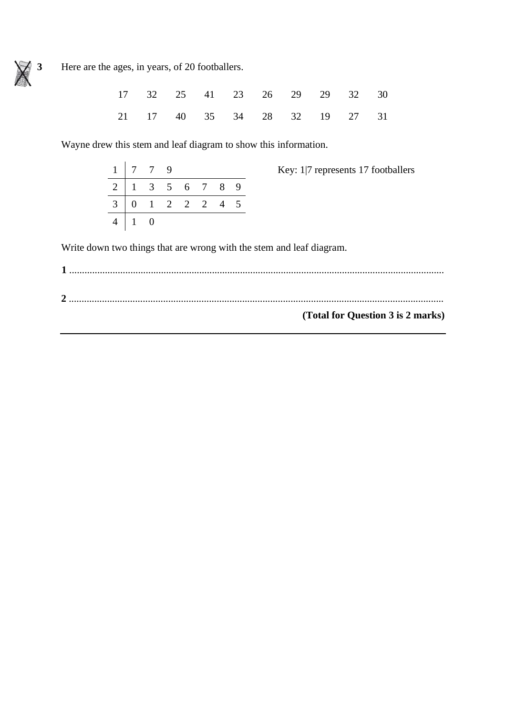

Here are the ages, in years, of 20 footballers.

|  |  | 17 32 25 41 23 26 29 29 32 30 |  |  |
|--|--|-------------------------------|--|--|
|  |  | 21 17 40 35 34 28 32 19 27 31 |  |  |

Wayne drew this stem and leaf diagram to show this information.

|                | $1 \mid 7 \mid 7 \mid 9$                                   |  |  |  |
|----------------|------------------------------------------------------------|--|--|--|
|                | $2 \mid 1 \quad 3 \quad 5 \quad 6 \quad 7 \quad 8 \quad 9$ |  |  |  |
|                | $3 \ 0 \ 1 \ 2 \ 2 \ 2 \ 4 \ 5$                            |  |  |  |
| $\overline{4}$ |                                                            |  |  |  |

Key: 1|7 represents 17 footballers

Write down two things that are wrong with the stem and leaf diagram.

| (Total for Question 3 is 2 marks) |
|-----------------------------------|
|                                   |
|                                   |
|                                   |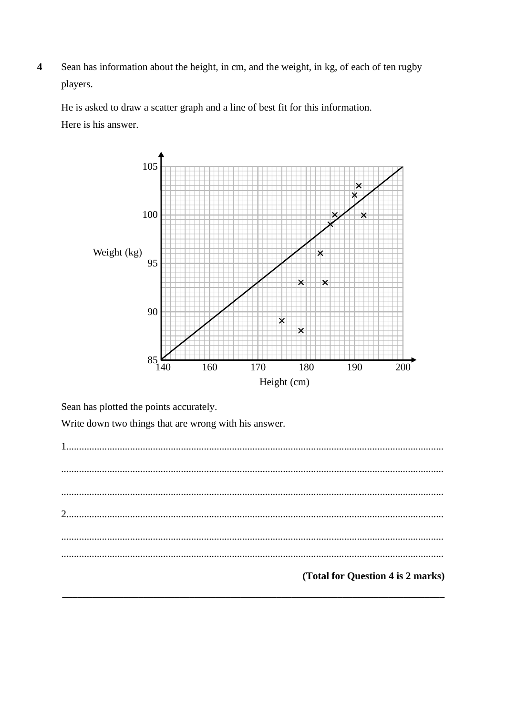Sean has information about the height, in cm, and the weight, in kg, of each of ten rugby  $\overline{\mathbf{4}}$ players.

He is asked to draw a scatter graph and a line of best fit for this information.

Here is his answer.



Sean has plotted the points accurately.

Write down two things that are wrong with his answer.

 $\mathcal{L}$  $\ddotsc$ (Total for Question 4 is 2 marks)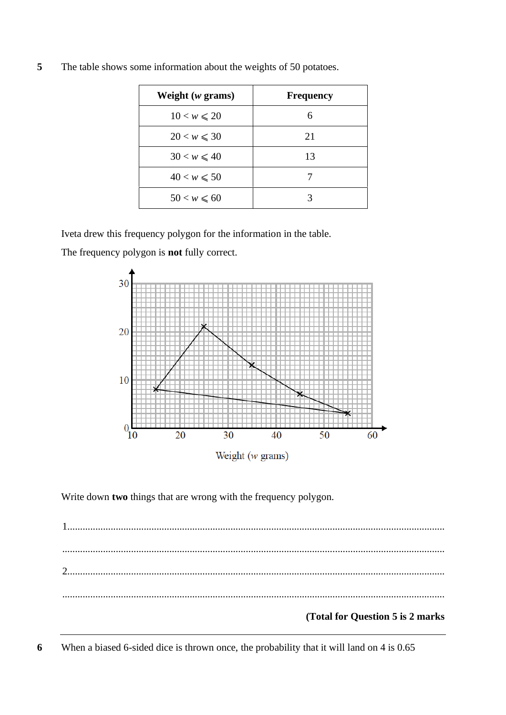| Weight $(w \text{ grams})$ | <b>Frequency</b> |
|----------------------------|------------------|
| $10 < w \le 20$            | 6                |
| $20 < w \leq 30$           | 21               |
| $30 < w \leq 40$           | 13               |
| $40 < w \le 50$            |                  |
| $50 < w \le 60$            | 3                |

**5** The table shows some information about the weights of 50 potatoes.

Iveta drew this frequency polygon for the information in the table.

The frequency polygon is **not** fully correct.



Write down **two** things that are wrong with the frequency polygon.

1.................................................................................................................................................... ...................................................................................................................................................... 2.................................................................................................................................................... ......................................................................................................................................................

# **(Total for Question 5 is 2 marks**

**6** When a biased 6-sided dice is thrown once, the probability that it will land on 4 is 0.65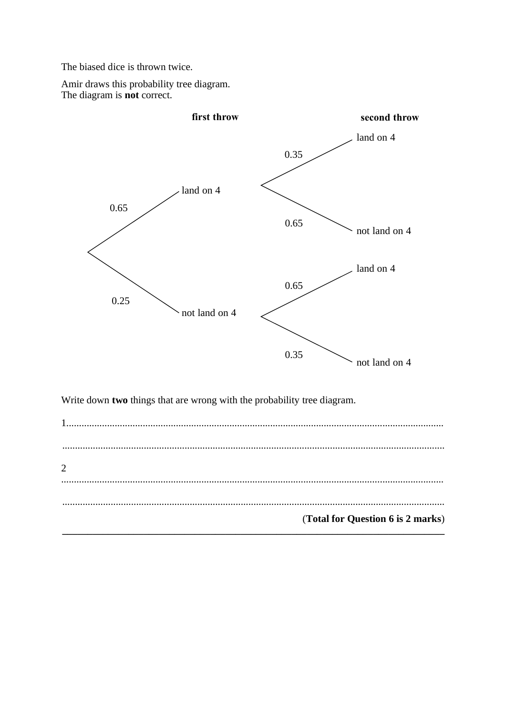The biased dice is thrown twice.

Amir draws this probability tree diagram. The diagram is **not** correct.



Write down two things that are wrong with the probability tree diagram.

 $\overline{2}$  $\ldots$ (Total for Question 6 is 2 marks)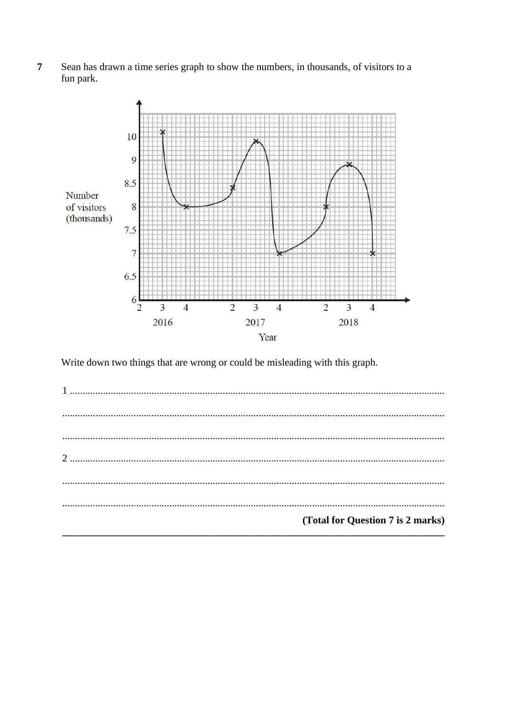Sean has drawn a time series graph to show the numbers, in thousands, of visitors to a  $\overline{7}$ fun park.



Write down two things that are wrong or could be misleading with this graph.